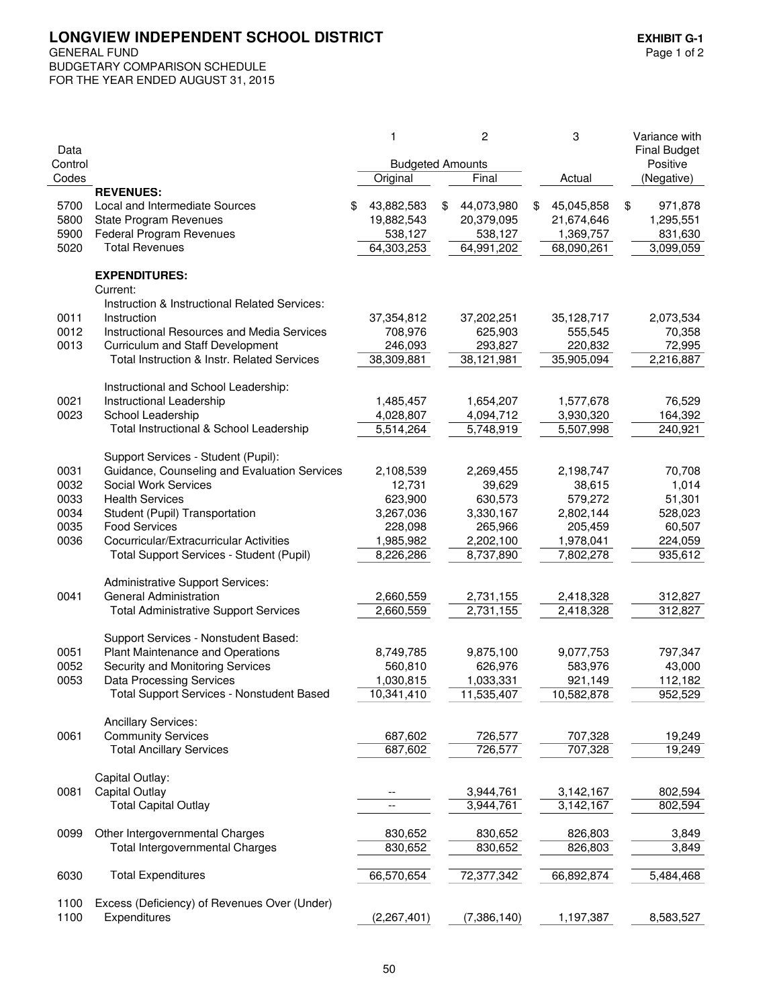LONGVIEW INDEPENDENT SCHOOL DISTRICT<br>GENERAL FUND<br>Page 1 of 2 **GENERAL FUND** 

BUDGETARY COMPARISON SCHEDULE FOR THE YEAR ENDED AUGUST 31, 2015

| Data         |                                                                                   |   | 1                       | 2                | 3                | Variance with<br><b>Final Budget</b> |
|--------------|-----------------------------------------------------------------------------------|---|-------------------------|------------------|------------------|--------------------------------------|
| Control      |                                                                                   |   | <b>Budgeted Amounts</b> |                  |                  | Positive                             |
| Codes        |                                                                                   |   | Original                | Final            | Actual           | (Negative)                           |
|              | <b>REVENUES:</b>                                                                  |   |                         |                  |                  |                                      |
| 5700         | Local and Intermediate Sources                                                    | S | 43,882,583              | \$<br>44,073,980 | \$<br>45,045,858 | \$<br>971,878                        |
| 5800         | <b>State Program Revenues</b>                                                     |   | 19,882,543              | 20,379,095       | 21,674,646       | 1,295,551                            |
| 5900         | Federal Program Revenues                                                          |   | 538,127                 | 538,127          | 1,369,757        | 831,630                              |
| 5020         | <b>Total Revenues</b>                                                             |   | 64,303,253              | 64,991,202       | 68,090,261       | 3,099,059                            |
|              | <b>EXPENDITURES:</b><br>Current:<br>Instruction & Instructional Related Services: |   |                         |                  |                  |                                      |
| 0011         | Instruction                                                                       |   | 37,354,812              | 37,202,251       | 35,128,717       | 2,073,534                            |
| 0012         | <b>Instructional Resources and Media Services</b>                                 |   | 708,976                 | 625,903          | 555,545          | 70,358                               |
| 0013         | Curriculum and Staff Development                                                  |   | 246,093                 | 293,827          | 220,832          | 72,995                               |
|              | Total Instruction & Instr. Related Services                                       |   | 38,309,881              | 38,121,981       | 35,905,094       | 2,216,887                            |
|              | Instructional and School Leadership:                                              |   |                         |                  |                  |                                      |
| 0021         | Instructional Leadership                                                          |   | 1,485,457               | 1,654,207        | 1,577,678        | 76,529                               |
| 0023         | School Leadership                                                                 |   | 4,028,807               | 4,094,712        | 3,930,320        | 164,392                              |
|              | Total Instructional & School Leadership                                           |   | 5,514,264               | 5,748,919        | 5,507,998        | 240,921                              |
|              | Support Services - Student (Pupil):                                               |   |                         |                  |                  |                                      |
| 0031         | Guidance, Counseling and Evaluation Services                                      |   | 2,108,539               | 2,269,455        | 2,198,747        | 70,708                               |
| 0032         | Social Work Services                                                              |   | 12,731                  | 39,629           | 38,615           | 1,014                                |
| 0033         | <b>Health Services</b>                                                            |   | 623,900                 | 630,573          | 579,272          | 51,301                               |
| 0034         | Student (Pupil) Transportation                                                    |   | 3,267,036               | 3,330,167        | 2,802,144        | 528,023                              |
| 0035         | <b>Food Services</b>                                                              |   | 228,098                 | 265,966          | 205,459          | 60,507                               |
| 0036         | Cocurricular/Extracurricular Activities                                           |   | 1,985,982               | 2,202,100        | 1,978,041        | 224,059                              |
|              | Total Support Services - Student (Pupil)                                          |   | 8,226,286               | 8,737,890        | 7,802,278        | 935,612                              |
|              | <b>Administrative Support Services:</b>                                           |   |                         |                  |                  |                                      |
| 0041         | <b>General Administration</b>                                                     |   | 2,660,559               | 2,731,155        | 2,418,328        | 312,827                              |
|              | <b>Total Administrative Support Services</b>                                      |   | 2,660,559               | 2,731,155        | 2,418,328        | 312,827                              |
|              | Support Services - Nonstudent Based:                                              |   |                         |                  |                  |                                      |
| 0051         | Plant Maintenance and Operations                                                  |   | 8,749,785               | 9,875,100        | 9,077,753        | 797,347                              |
| 0052         | Security and Monitoring Services                                                  |   | 560,810                 | 626,976          | 583,976          | 43,000                               |
| 0053         | <b>Data Processing Services</b>                                                   |   | 1,030,815               | 1,033,331        | 921,149          | 112,182                              |
|              | <b>Total Support Services - Nonstudent Based</b>                                  |   | 10,341,410              | 11,535,407       | 10,582,878       | 952,529                              |
|              | <b>Ancillary Services:</b>                                                        |   |                         |                  |                  |                                      |
| 0061         | <b>Community Services</b>                                                         |   | 687,602                 | 726,577          | 707,328          | 19,249                               |
|              | <b>Total Ancillary Services</b>                                                   |   | 687,602                 | 726,577          | 707,328          | 19,249                               |
| 0081         | Capital Outlay:<br>Capital Outlay                                                 |   |                         | 3,944,761        | 3,142,167        | 802,594                              |
|              | <b>Total Capital Outlay</b>                                                       |   |                         | 3,944,761        | 3,142,167        | 802,594                              |
|              |                                                                                   |   |                         |                  |                  |                                      |
| 0099         | Other Intergovernmental Charges                                                   |   | 830,652                 | 830,652          | 826,803          | 3,849                                |
|              | <b>Total Intergovernmental Charges</b>                                            |   | 830,652                 | 830,652          | 826,803          | 3,849                                |
| 6030         | <b>Total Expenditures</b>                                                         |   | 66,570,654              | 72,377,342       | 66,892,874       | 5,484,468                            |
|              |                                                                                   |   |                         |                  |                  |                                      |
| 1100<br>1100 | Excess (Deficiency) of Revenues Over (Under)<br>Expenditures                      |   | (2, 267, 401)           | (7,386,140)      | 1,197,387        | 8,583,527                            |
|              |                                                                                   |   |                         |                  |                  |                                      |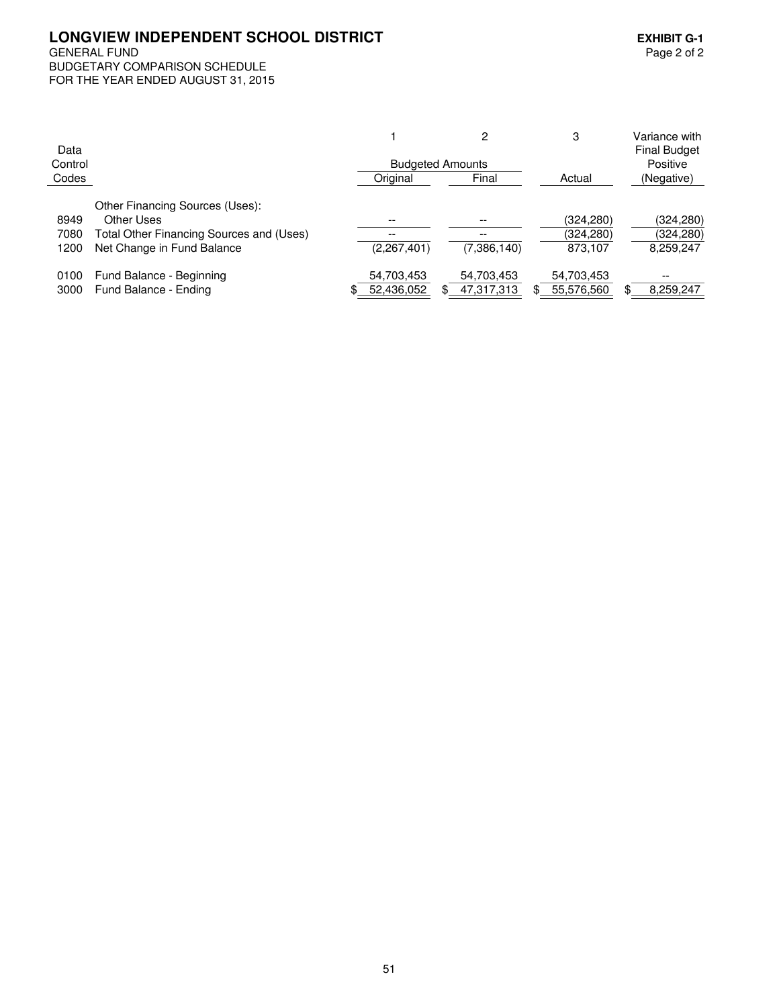## LONGVIEW INDEPENDENT SCHOOL DISTRICT<br>GENERAL FUND<br>Page 2 of 2 **GENERAL FUND** BUDGETARY COMPARISON SCHEDULE

FOR THE YEAR ENDED AUGUST 31, 2015

|         |                                          |                         | 2           | 3          |     | Variance with       |
|---------|------------------------------------------|-------------------------|-------------|------------|-----|---------------------|
| Data    |                                          |                         |             |            |     | <b>Final Budget</b> |
| Control |                                          | <b>Budgeted Amounts</b> |             |            |     | Positive            |
| Codes   |                                          | Original                | Final       | Actual     |     | (Negative)          |
|         | Other Financing Sources (Uses):          |                         |             |            |     |                     |
| 8949    | Other Uses                               |                         |             | (324,280)  |     | (324, 280)          |
| 7080    | Total Other Financing Sources and (Uses) |                         | --          | (324,280)  |     | (324, 280)          |
| 1200    | Net Change in Fund Balance               | (2,267,401)             | (7,386,140) | 873.107    |     | 8,259,247           |
| 0100    | Fund Balance - Beginning                 | 54,703,453              | 54,703,453  | 54,703,453 |     | $- -$               |
| 3000    | Fund Balance - Ending                    | \$<br>52,436,052        | 47,317,313  | 55,576,560 | \$. | 8,259,247           |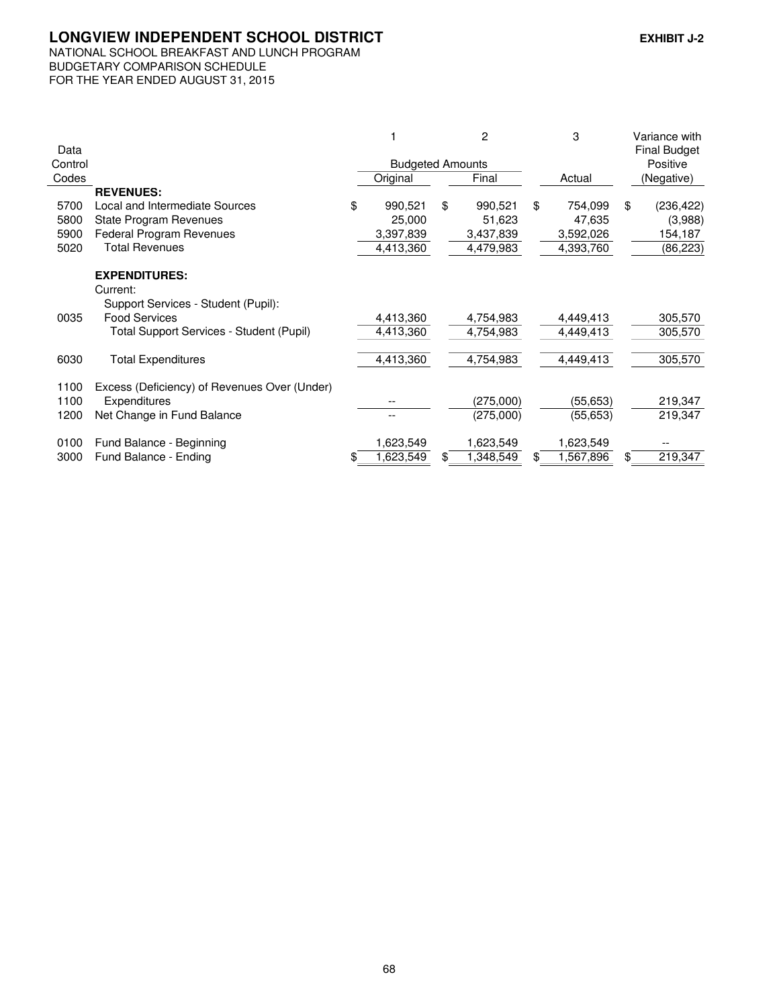## LONGVIEW INDEPENDENT SCHOOL DISTRICT EXHIBIT J-2

## NATIONAL SCHOOL BREAKFAST AND LUNCH PROGRAM BUDGETARY COMPARISON SCHEDULE FOR THE YEAR ENDED AUGUST 31, 2015

|         |                                              |    |                         |    | 2         |          | 3         | Variance with       |
|---------|----------------------------------------------|----|-------------------------|----|-----------|----------|-----------|---------------------|
| Data    |                                              |    |                         |    |           |          |           | <b>Final Budget</b> |
| Control |                                              |    | <b>Budgeted Amounts</b> |    |           | Positive |           |                     |
| Codes   |                                              |    | Original                |    | Final     |          | Actual    | (Negative)          |
|         | <b>REVENUES:</b>                             |    |                         |    |           |          |           |                     |
| 5700    | Local and Intermediate Sources               | \$ | 990,521                 | \$ | 990,521   | \$       | 754,099   | \$<br>(236, 422)    |
| 5800    | <b>State Program Revenues</b>                |    | 25,000                  |    | 51,623    |          | 47,635    | (3,988)             |
| 5900    | Federal Program Revenues                     |    | 3,397,839               |    | 3,437,839 |          | 3,592,026 | 154,187             |
| 5020    | <b>Total Revenues</b>                        |    | 4,413,360               |    | 4,479,983 |          | 4,393,760 | (86, 223)           |
|         | <b>EXPENDITURES:</b>                         |    |                         |    |           |          |           |                     |
|         | Current:                                     |    |                         |    |           |          |           |                     |
|         | Support Services - Student (Pupil):          |    |                         |    |           |          |           |                     |
| 0035    | <b>Food Services</b>                         |    | 4,413,360               |    | 4,754,983 |          | 4,449,413 | 305,570             |
|         | Total Support Services - Student (Pupil)     |    | 4,413,360               |    | 4,754,983 |          | 4,449,413 | 305,570             |
| 6030    | <b>Total Expenditures</b>                    |    | 4,413,360               |    | 4,754,983 |          | 4,449,413 | 305,570             |
|         |                                              |    |                         |    |           |          |           |                     |
| 1100    | Excess (Deficiency) of Revenues Over (Under) |    |                         |    |           |          |           |                     |
| 1100    | Expenditures                                 |    |                         |    | (275,000) |          | (55, 653) | 219,347             |
| 1200    | Net Change in Fund Balance                   |    |                         |    | (275,000) |          | (55, 653) | 219,347             |
| 0100    | Fund Balance - Beginning                     |    | 1,623,549               |    | 1,623,549 |          | 1,623,549 |                     |
| 3000    | Fund Balance - Ending                        | S. | 1,623,549               | \$ | ,348,549  | \$       | 1,567,896 | \$<br>219,347       |